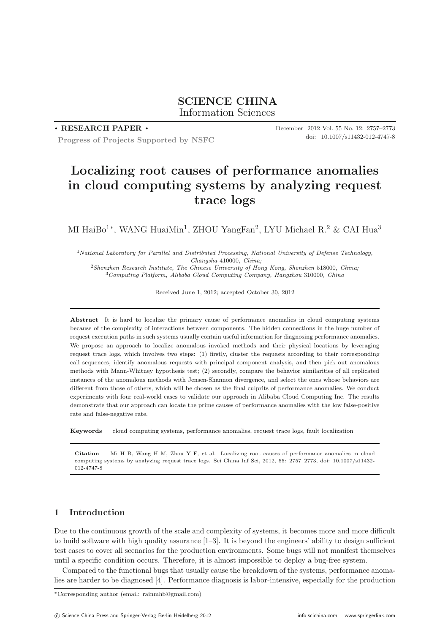# **SCIENCE CHINA** Information Sciences

## **. RESEARCH PAPER .**

**Progress of Projects Supported by NSFC**

December 2012 Vol. 55 No. 12: 2757–2773 doi: 10.1007/s11432-012-4747-8

# **Localizing root causes of performance anomalies in cloud computing systems by analyzing request trace logs**

MI HaiBo<sup>1∗</sup>, WANG HuaiMin<sup>1</sup>, ZHOU YangFan<sup>2</sup>, LYU Michael R.<sup>2</sup> & CAI Hua<sup>3</sup>

<sup>1</sup>*National Laboratory for Parallel and Distributed Processing, National University of Defense Technology, Changsha* 410000*, China;*

<sup>2</sup>*Shenzhen Research Institute, The Chinese University of Hong Kong, Shenzhen* 518000*, China;* <sup>3</sup>*Computing Platform, Alibaba Cloud Computing Company, Hangzhou* 310000*, China*

Received June 1, 2012; accepted October 30, 2012

**Abstract** It is hard to localize the primary cause of performance anomalies in cloud computing systems because of the complexity of interactions between components. The hidden connections in the huge number of request execution paths in such systems usually contain useful information for diagnosing performance anomalies. We propose an approach to localize anomalous invoked methods and their physical locations by leveraging request trace logs, which involves two steps: (1) firstly, cluster the requests according to their corresponding call sequences, identify anomalous requests with principal component analysis, and then pick out anomalous methods with Mann-Whitney hypothesis test; (2) secondly, compare the behavior similarities of all replicated instances of the anomalous methods with Jensen-Shannon divergence, and select the ones whose behaviors are different from those of others, which will be chosen as the final culprits of performance anomalies. We conduct experiments with four real-world cases to validate our approach in Alibaba Cloud Computing Inc. The results demonstrate that our approach can locate the prime causes of performance anomalies with the low false-positive rate and false-negative rate.

**Keywords** cloud computing systems, performance anomalies, request trace logs, fault localization

**Citation** Mi H B, Wang H M, Zhou Y F, et al. Localizing root causes of performance anomalies in cloud computing systems by analyzing request trace logs. Sci China Inf Sci, 2012, 55: 2757–2773, doi: 10.1007/s11432- 012-4747-8

# **1 Introduction**

Due to the continuous growth of the scale and complexity of systems, it becomes more and more difficult to build software with high quality assurance [1–3]. It is beyond the engineers' ability to design sufficient test cases to cover all scenarios for the production environments. Some bugs will not manifest themselves until a specific condition occurs. Therefore, it is almost impossible to deploy a bug-free system.

Compared to the functional bugs that usually cause the breakdown of the systems, performance anomalies are harder to be diagnosed [4]. Performance diagnosis is labor-intensive, especially for the production

<sup>∗</sup>Corresponding author (email: rainmhb@gmail.com)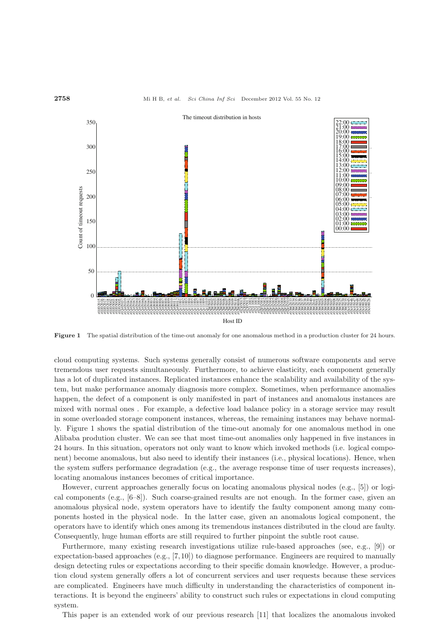#### **2758** Mi H B, *et al. Sci China Inf Sci* December 2012 Vol. 55 No. 12



**Figure 1** The spatial distribution of the time-out anomaly for one anomalous method in a production cluster for 24 hours.

cloud computing systems. Such systems generally consist of numerous software components and serve tremendous user requests simultaneously. Furthermore, to achieve elasticity, each component generally has a lot of duplicated instances. Replicated instances enhance the scalability and availability of the system, but make performance anomaly diagnosis more complex. Sometimes, when performance anomalies happen, the defect of a component is only manifested in part of instances and anomalous instances are mixed with normal ones . For example, a defective load balance policy in a storage service may result in some overloaded storage component instances, whereas, the remaining instances may behave normally. Figure 1 shows the spatial distribution of the time-out anomaly for one anomalous method in one Alibaba prodution cluster. We can see that most time-out anomalies only happened in five instances in 24 hours. In this situation, operators not only want to know which invoked methods (i.e. logical component) become anomalous, but also need to identify their instances (i.e., physical locations). Hence, when the system suffers performance degradation (e.g., the average response time of user requests increases), locating anomalous instances becomes of critical importance.

However, current approaches generally focus on locating anomalous physical nodes (e.g., [5]) or logical components (e.g.,  $[6-8]$ ). Such coarse-grained results are not enough. In the former case, given an anomalous physical node, system operators have to identify the faulty component among many components hosted in the physical node. In the latter case, given an anomalous logical component, the operators have to identify which ones among its tremendous instances distributed in the cloud are faulty. Consequently, huge human efforts are still required to further pinpoint the subtle root cause.

Furthermore, many existing research investigations utilize rule-based approaches (see, e.g., [9]) or expectation-based approaches (e.g., [7, 10]) to diagnose performance. Engineers are required to manually design detecting rules or expectations according to their specific domain knowledge. However, a production cloud system generally offers a lot of concurrent services and user requests because these services are complicated. Engineers have much difficulty in understanding the characteristics of component interactions. It is beyond the engineers' ability to construct such rules or expectations in cloud computing system.

This paper is an extended work of our previous research [11] that localizes the anomalous invoked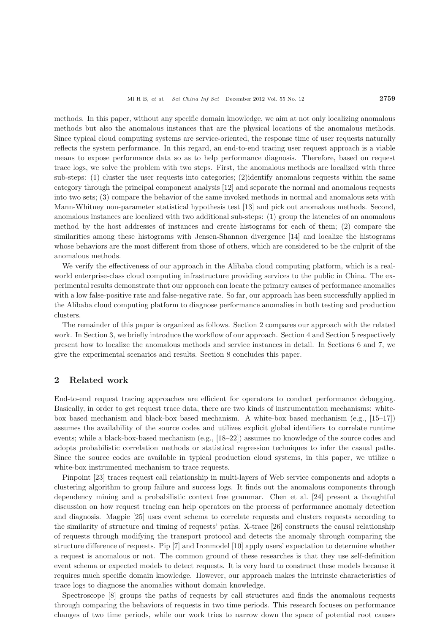methods. In this paper, without any specific domain knowledge, we aim at not only localizing anomalous methods but also the anomalous instances that are the physical locations of the anomalous methods. Since typical cloud computing systems are service-oriented, the response time of user requests naturally reflects the system performance. In this regard, an end-to-end tracing user request approach is a viable means to expose performance data so as to help performance diagnosis. Therefore, based on request trace logs, we solve the problem with two steps. First, the anomalous methods are localized with three sub-steps: (1) cluster the user requests into categories; (2)identify anomalous requests within the same category through the principal component analysis [12] and separate the normal and anomalous requests into two sets; (3) compare the behavior of the same invoked methods in normal and anomalous sets with Mann-Whitney non-parameter statistical hypothesis test [13] and pick out anomalous methods. Second, anomalous instances are localized with two additional sub-steps: (1) group the latencies of an anomalous method by the host addresses of instances and create histograms for each of them; (2) compare the similarities among these histograms with Jensen-Shannon divergence [14] and localize the histograms whose behaviors are the most different from those of others, which are considered to be the culprit of the anomalous methods.

We verify the effectiveness of our approach in the Alibaba cloud computing platform, which is a realworld enterprise-class cloud computing infrastructure providing services to the public in China. The experimental results demonstrate that our approach can locate the primary causes of performance anomalies with a low false-positive rate and false-negative rate. So far, our approach has been successfully applied in the Alibaba cloud computing platform to diagnose performance anomalies in both testing and production clusters.

The remainder of this paper is organized as follows. Section 2 compares our approach with the related work. In Section 3, we briefly introduce the workflow of our approach. Section 4 and Section 5 respectively present how to localize the anomalous methods and service instances in detail. In Sections 6 and 7, we give the experimental scenarios and results. Section 8 concludes this paper.

## **2 Related work**

End-to-end request tracing approaches are efficient for operators to conduct performance debugging. Basically, in order to get request trace data, there are two kinds of instrumentation mechanisms: whitebox based mechanism and black-box based mechanism. A white-box based mechanism (e.g., [15–17]) assumes the availability of the source codes and utilizes explicit global identifiers to correlate runtime events; while a black-box-based mechanism (e.g., [18–22]) assumes no knowledge of the source codes and adopts probabilistic correlation methods or statistical regression techniques to infer the casual paths. Since the source codes are available in typical production cloud systems, in this paper, we utilize a white-box instrumented mechanism to trace requests.

Pinpoint [23] traces request call relationship in multi-layers of Web service components and adopts a clustering algorithm to group failure and success logs. It finds out the anomalous components through dependency mining and a probabilistic context free grammar. Chen et al. [24] present a thoughtful discussion on how request tracing can help operators on the process of performance anomaly detection and diagnosis. Magpie [25] uses event schema to correlate requests and clusters requests according to the similarity of structure and timing of requests' paths. X-trace [26] constructs the causal relationship of requests through modifying the transport protocol and detects the anomaly through comparing the structure difference of requests. Pip [7] and Ironmodel [10] apply users' expectation to determine whether a request is anomalous or not. The common ground of these researches is that they use self-definition event schema or expected models to detect requests. It is very hard to construct these models because it requires much specific domain knowledge. However, our approach makes the intrinsic characteristics of trace logs to diagnose the anomalies without domain knowledge.

Spectroscope [8] groups the paths of requests by call structures and finds the anomalous requests through comparing the behaviors of requests in two time periods. This research focuses on performance changes of two time periods, while our work tries to narrow down the space of potential root causes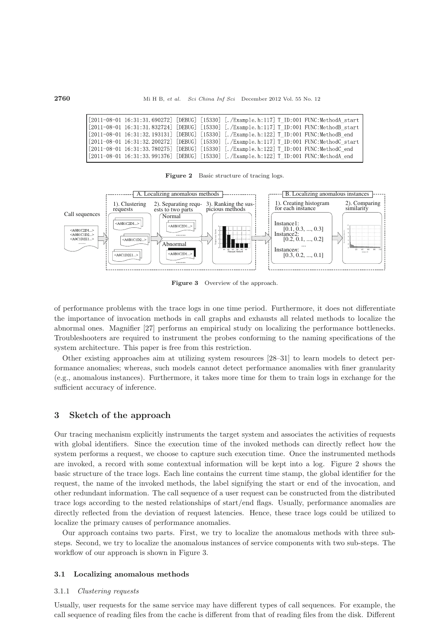**2760** Mi H B, *et al. Sci China Inf Sci* December 2012 Vol. 55 No. 12

|  |  | $[2011-08-01 \t16:31:31.690272]$ [DEBUG] $[15330]$ [./Example.h:117] T ID:001 FUNC:MethodA start |
|--|--|--------------------------------------------------------------------------------------------------|
|  |  | $[2011-08-01 \t 16:31:31.832724]$ [DEBUG] [15330] [./Example.h:117] T ID:001 FUNC:MethodB start  |
|  |  | [2011-08-01 16:31:32.193131] [DEBUG] [15330] [./Example.h:122] T ID:001 FUNC:MethodB end         |
|  |  | $[2011-08-01 \t16:31:32.200272]$ [DEBUG] $[15330]$ [./Example.h:117] T ID:001 FUNC:MethodC start |
|  |  | $[2011-08-01 \ 16:31:33.780275]$ [DEBUG] $[15330]$ [./Example.h:122] T ID:001 FUNC:MethodC end   |
|  |  | [2011-08-01 16:31:33.991376] [DEBUG] [15330] [./Example.h:122] T ID:001 FUNC:MethodA end         |

**Figure 2** Basic structure of tracing logs.



Figure 3 Overview of the approach.

of performance problems with the trace logs in one time period. Furthermore, it does not differentiate the importance of invocation methods in call graphs and exhausts all related methods to localize the abnormal ones. Magnifier [27] performs an empirical study on localizing the performance bottlenecks. Troubleshooters are required to instrument the probes conforming to the naming specifications of the system architecture. This paper is free from this restriction.

Other existing approaches aim at utilizing system resources [28–31] to learn models to detect performance anomalies; whereas, such models cannot detect performance anomalies with finer granularity (e.g., anomalous instances). Furthermore, it takes more time for them to train logs in exchange for the sufficient accuracy of inference.

# **3 Sketch of the approach**

Our tracing mechanism explicitly instruments the target system and associates the activities of requests with global identifiers. Since the execution time of the invoked methods can directly reflect how the system performs a request, we choose to capture such execution time. Once the instrumented methods are invoked, a record with some contextual information will be kept into a log. Figure 2 shows the basic structure of the trace logs. Each line contains the current time stamp, the global identifier for the request, the name of the invoked methods, the label signifying the start or end of the invocation, and other redundant information. The call sequence of a user request can be constructed from the distributed trace logs according to the nested relationships of start/end flags. Usually, performance anomalies are directly reflected from the deviation of request latencies. Hence, these trace logs could be utilized to localize the primary causes of performance anomalies.

Our approach contains two parts. First, we try to localize the anomalous methods with three substeps. Second, we try to localize the anomalous instances of service components with two sub-steps. The workflow of our approach is shown in Figure 3.

## **3.1 Localizing anomalous methods**

#### 3.1.1 *Clustering requests*

Usually, user requests for the same service may have different types of call sequences. For example, the call sequence of reading files from the cache is different from that of reading files from the disk. Different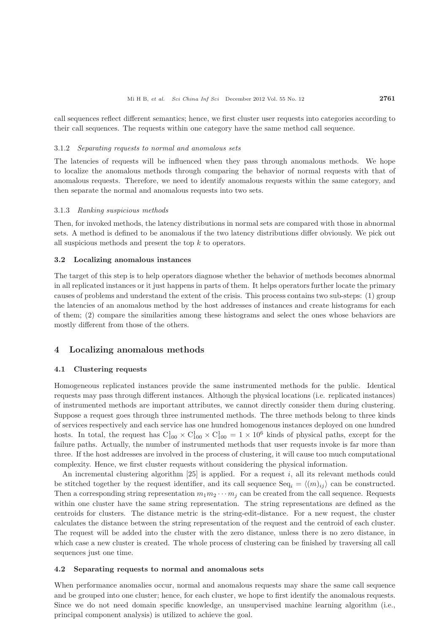call sequences reflect different semantics; hence, we first cluster user requests into categories according to their call sequences. The requests within one category have the same method call sequence.

#### 3.1.2 *Separating requests to normal and anomalous sets*

The latencies of requests will be influenced when they pass through anomalous methods. We hope to localize the anomalous methods through comparing the behavior of normal requests with that of anomalous requests. Therefore, we need to identify anomalous requests within the same category, and then separate the normal and anomalous requests into two sets.

#### 3.1.3 *Ranking suspicious methods*

Then, for invoked methods, the latency distributions in normal sets are compared with those in abnormal sets. A method is defined to be anomalous if the two latency distributions differ obviously. We pick out all suspicious methods and present the top k to operators.

#### **3.2 Localizing anomalous instances**

The target of this step is to help operators diagnose whether the behavior of methods becomes abnormal in all replicated instances or it just happens in parts of them. It helps operators further locate the primary causes of problems and understand the extent of the crisis. This process contains two sub-steps: (1) group the latencies of an anomalous method by the host addresses of instances and create histograms for each of them; (2) compare the similarities among these histograms and select the ones whose behaviors are mostly different from those of the others.

## **4 Localizing anomalous methods**

## **4.1 Clustering requests**

Homogeneous replicated instances provide the same instrumented methods for the public. Identical requests may pass through different instances. Although the physical locations (i.e. replicated instances) of instrumented methods are important attributes, we cannot directly consider them during clustering. Suppose a request goes through three instrumented methods. The three methods belong to three kinds of services respectively and each service has one hundred homogenous instances deployed on one hundred hosts. In total, the request has  $C_{100}^1 \times C_{100}^1 \times C_{100}^1 = 1 \times 10^6$  kinds of physical paths, except for the failure paths. Actually, the number of instrumented methods that user requests invoke is far more than three. If the host addresses are involved in the process of clustering, it will cause too much computational complexity. Hence, we first cluster requests without considering the physical information.

An incremental clustering algorithm  $[25]$  is applied. For a request i, all its relevant methods could be stitched together by the request identifier, and its call sequence  $\text{Seq}_i = \langle (m)_{ij} \rangle$  can be constructed. Then a corresponding string representation  $m_1m_2\cdots m_j$  can be created from the call sequence. Requests within one cluster have the same string representation. The string representations are defined as the centroids for clusters. The distance metric is the string-edit-distance. For a new request, the cluster calculates the distance between the string representation of the request and the centroid of each cluster. The request will be added into the cluster with the zero distance, unless there is no zero distance, in which case a new cluster is created. The whole process of clustering can be finished by traversing all call sequences just one time.

#### **4.2 Separating requests to normal and anomalous sets**

When performance anomalies occur, normal and anomalous requests may share the same call sequence and be grouped into one cluster; hence, for each cluster, we hope to first identify the anomalous requests. Since we do not need domain specific knowledge, an unsupervised machine learning algorithm (i.e., principal component analysis) is utilized to achieve the goal.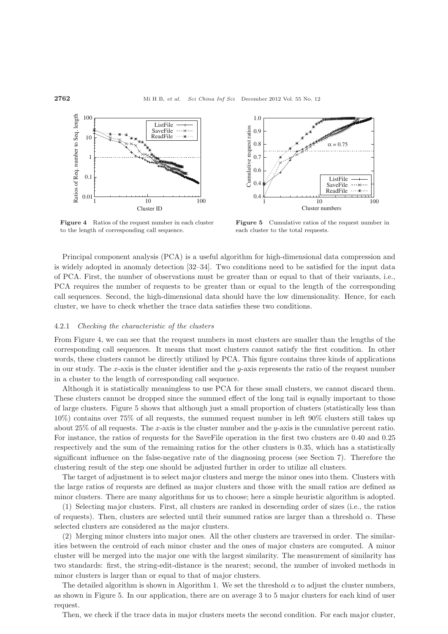

**Figure 4** Ratios of the request number in each cluster to the length of corresponding call sequence.



**Figure 5** Cumulative ratios of the request number in each cluster to the total requests.

Principal component analysis (PCA) is a useful algorithm for high-dimensional data compression and is widely adopted in anomaly detection [32–34]. Two conditions need to be satisfied for the input data of PCA. First, the number of observations must be greater than or equal to that of their variants, i.e., PCA requires the number of requests to be greater than or equal to the length of the corresponding call sequences. Second, the high-dimensional data should have the low dimensionality. Hence, for each cluster, we have to check whether the trace data satisfies these two conditions.

#### 4.2.1 *Checking the characteristic of the clusters*

From Figure 4, we can see that the request numbers in most clusters are smaller than the lengths of the corresponding call sequences. It means that most clusters cannot satisfy the first condition. In other words, these clusters cannot be directly utilized by PCA. This figure contains three kinds of applications in our study. The x-axis is the cluster identifier and the y-axis represents the ratio of the request number in a cluster to the length of corresponding call sequence.

Although it is statistically meaningless to use PCA for these small clusters, we cannot discard them. These clusters cannot be dropped since the summed effect of the long tail is equally important to those of large clusters. Figure 5 shows that although just a small proportion of clusters (statistically less than 10%) contains over 75% of all requests, the summed request number in left 90% clusters still takes up about 25% of all requests. The x-axis is the cluster number and the y-axis is the cumulative percent ratio. For instance, the ratios of requests for the SaveFile operation in the first two clusters are 0.40 and 0.25 respectively and the sum of the remaining ratios for the other clusters is 0.35, which has a statistically significant influence on the false-negative rate of the diagnosing process (see Section 7). Therefore the clustering result of the step one should be adjusted further in order to utilize all clusters.

The target of adjustment is to select major clusters and merge the minor ones into them. Clusters with the large ratios of requests are defined as major clusters and those with the small ratios are defined as minor clusters. There are many algorithms for us to choose; here a simple heuristic algorithm is adopted.

(1) Selecting major clusters. First, all clusters are ranked in descending order of sizes (i.e., the ratios of requests). Then, clusters are selected until their summed ratios are larger than a threshold  $\alpha$ . These selected clusters are considered as the major clusters.

(2) Merging minor clusters into major ones. All the other clusters are traversed in order. The similarities between the centroid of each minor cluster and the ones of major clusters are computed. A minor cluster will be merged into the major one with the largest similarity. The measurement of similarity has two standards: first, the string-edit-distance is the nearest; second, the number of invoked methods in minor clusters is larger than or equal to that of major clusters.

The detailed algorithm is shown in Algorithm 1. We set the threshold  $\alpha$  to adjust the cluster numbers, as shown in Figure 5. In our application, there are on average 3 to 5 major clusters for each kind of user request.

Then, we check if the trace data in major clusters meets the second condition. For each major cluster,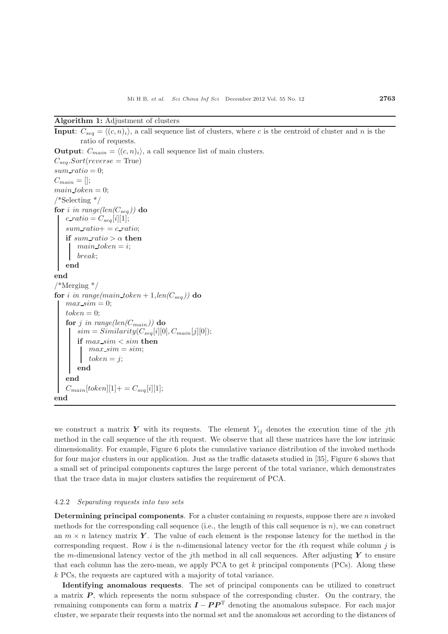## **Algorithm 1:** Adjustment of clusters

**Input**:  $C_{seq} = \langle (c, n)_i \rangle$ , a call sequence list of clusters, where c is the centroid of cluster and n is the ratio of requests. **Output**:  $C_{main} = \langle (c, n)_i \rangle$ , a call sequence list of main clusters.  $C_{sea}. Sort(reverse = True)$  $sum\_ratio = 0$ ;  $C_{main} = []$ ;  $main\_token = 0$ ; /\*Selecting \*/ for *i* in range(len( $C_{seq}$ )) do  $c\_ratio = C_{seq}[i][1];$  $sum\_ratio+=c\_ratio;$ **if**  $sum\_ratio > \alpha$  **then**  $main\_token = i;$ break; **end end** /\*Merging \*/ **for** i in range(main\_token + 1,len( $C_{seq}$ )) **do**  $max\_sim = 0;$  $token = 0$ : **for** j in range(len( $C_{main}$ )) **do**  $sim = Similarity(C_{seq}[i][0], C_{main}[j][0])$ ; **if** max sim < sim **then**  $max\_sim = sim;$  $token = i$ **end end**  $C_{main}[token][1] + C_{seq}[i][1];$ **end**

we construct a matrix **Y** with its requests. The element  $Y_{ij}$  denotes the execution time of the jth method in the call sequence of the ith request. We observe that all these matrices have the low intrinsic dimensionality. For example, Figure 6 plots the cumulative variance distribution of the invoked methods for four major clusters in our application. Just as the traffic datasets studied in [35], Figure 6 shows that a small set of principal components captures the large percent of the total variance, which demonstrates that the trace data in major clusters satisfies the requirement of PCA.

#### 4.2.2 *Separating requests into two sets*

**Determining principal components**. For a cluster containing m requests, suppose there are n invoked methods for the corresponding call sequence (i.e., the length of this call sequence is  $n$ ), we can construct an  $m \times n$  latency matrix *Y*. The value of each element is the response latency for the method in the corresponding request. Row i is the n-dimensional latency vector for the ith request while column  $j$  is the m-dimensional latency vector of the j<sup>th</sup> method in all call sequences. After adjusting  $\boldsymbol{Y}$  to ensure that each column has the zero-mean, we apply PCA to get  $k$  principal components (PCs). Along these k PCs, the requests are captured with a majority of total variance.

**Identifying anomalous requests**. The set of principal components can be utilized to construct a matrix *P* , which represents the norm subspace of the corresponding cluster. On the contrary, the remaining components can form a matrix  $I - PP^T$  denoting the anomalous subspace. For each major cluster, we separate their requests into the normal set and the anomalous set according to the distances of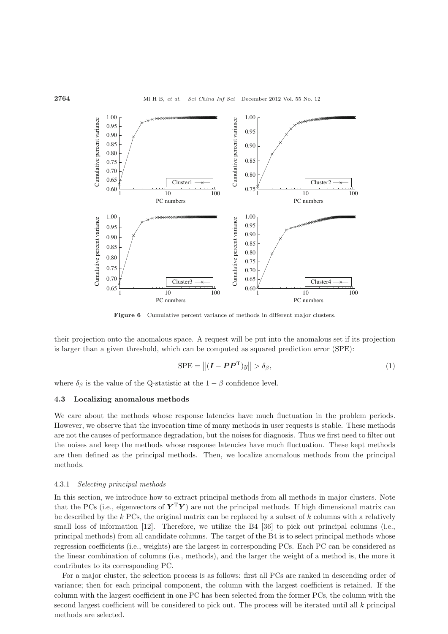

Figure 6 Cumulative percent variance of methods in different major clusters.

their projection onto the anomalous space. A request will be put into the anomalous set if its projection is larger than a given threshold, which can be computed as squared prediction error (SPE):

$$
SPE = \left\| (\boldsymbol{I} - \boldsymbol{P}\boldsymbol{P}^{\mathrm{T}})y \right\| > \delta_{\beta},\tag{1}
$$

where  $\delta_{\beta}$  is the value of the Q-statistic at the  $1 - \beta$  confidence level.

## **4.3 Localizing anomalous methods**

We care about the methods whose response latencies have much fluctuation in the problem periods. However, we observe that the invocation time of many methods in user requests is stable. These methods are not the causes of performance degradation, but the noises for diagnosis. Thus we first need to filter out the noises and keep the methods whose response latencies have much fluctuation. These kept methods are then defined as the principal methods. Then, we localize anomalous methods from the principal methods.

#### 4.3.1 *Selecting principal methods*

In this section, we introduce how to extract principal methods from all methods in major clusters. Note that the PCs (i.e., eigenvectors of  $Y^TY$ ) are not the principal methods. If high dimensional matrix can be described by the  $k$  PCs, the original matrix can be replaced by a subset of  $k$  columns with a relatively small loss of information [12]. Therefore, we utilize the B4 [36] to pick out principal columns (i.e., principal methods) from all candidate columns. The target of the B4 is to select principal methods whose regression coefficients (i.e., weights) are the largest in corresponding PCs. Each PC can be considered as the linear combination of columns (i.e., methods), and the larger the weight of a method is, the more it contributes to its corresponding PC.

For a major cluster, the selection process is as follows: first all PCs are ranked in descending order of variance; then for each principal component, the column with the largest coefficient is retained. If the column with the largest coefficient in one PC has been selected from the former PCs, the column with the second largest coefficient will be considered to pick out. The process will be iterated until all  $k$  principal methods are selected.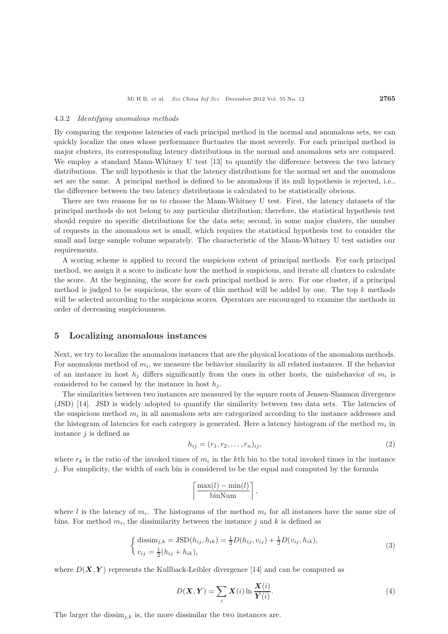#### 4.3.2 *Identifying anomalous methods*

By comparing the response latencies of each principal method in the normal and anomalous sets, we can quickly localize the ones whose performance fluctuates the most severely. For each principal method in major clusters, its corresponding latency distributions in the normal and anomalous sets are compared. We employ a standard Mann-Whitney U test [13] to quantify the difference between the two latency distributions. The null hypothesis is that the latency distributions for the normal set and the anomalous set are the same. A principal method is defined to be anomalous if its null hypothesis is rejected, i.e., the difference between the two latency distributions is calculated to be statistically obvious.

There are two reasons for us to choose the Mann-Whitney U test. First, the latency datasets of the principal methods do not belong to any particular distribution; therefore, the statistical hypothesis test should require no specific distributions for the data sets; second, in some major clusters, the number of requests in the anomalous set is small, which requires the statistical hypothesis test to consider the small and large sample volume separately. The characteristic of the Mann-Whitney U test satisfies our requirements.

A scoring scheme is applied to record the suspicious extent of principal methods. For each principal method, we assign it a score to indicate how the method is suspicious, and iterate all clusters to calculate the score. At the beginning, the score for each principal method is zero. For one cluster, if a principal method is judged to be suspicious, the score of this method will be added by one. The top  $k$  methods will be selected according to the suspicious scores. Operators are encouraged to examine the methods in order of decreasing suspiciousness.

## **5 Localizing anomalous instances**

Next, we try to localize the anomalous instances that are the physical locations of the anomalous methods. For anomalous method of  $m_i$ , we measure the behavior similarity in all related instances. If the behavior of an instance in host  $h_j$  differs significantly from the ones in other hosts, the misbehavior of  $m_i$  is considered to be caused by the instance in host  $h_i$ .

The similarities between two instances are measured by the square roots of Jensen-Shannon divergence (JSD) [14]. JSD is widely adopted to quantify the similarity between two data sets. The latencies of the suspicious method  $m_i$  in all anomalous sets are categorized according to the instance addresses and the histogram of latencies for each category is generated. Here a latency histogram of the method  $m_i$  in instance  $j$  is defined as

$$
h_{ij} = (r_1, r_2, \dots, r_n)_{ij},\tag{2}
$$

where  $r_k$  is the ratio of the invoked times of  $m_i$  in the kth bin to the total invoked times in the instance  $i$ . For simplicity, the width of each bin is considered to be the equal and computed by the formula

$$
\left\lceil \frac{\max(l) - \min(l)}{\text{binNum}} \right\rceil,
$$

where l is the latency of  $m_i$ . The histograms of the method  $m_i$  for all instances have the same size of bins. For method  $m_i$ , the dissimilarity between the instance j and k is defined as

$$
\begin{cases} \text{dissim}_{j,k} = \text{JSD}(h_{ij}, h_{ik}) = \frac{1}{2}D(h_{ij}, v_{ij}) + \frac{1}{2}D(v_{ij}, h_{ik}),\\ v_{ij} = \frac{1}{2}(h_{ij} + h_{ik}), \end{cases}
$$
(3)

where  $D(X, Y)$  represents the Kullback-Leibler divergence [14] and can be computed as

$$
D(\boldsymbol{X}, \boldsymbol{Y}) = \sum_{i} \boldsymbol{X}(i) \ln \frac{\boldsymbol{X}(i)}{\boldsymbol{Y}(i)}.
$$
\n(4)

The larger the dissim<sub>i,k</sub> is, the more dissimilar the two instances are.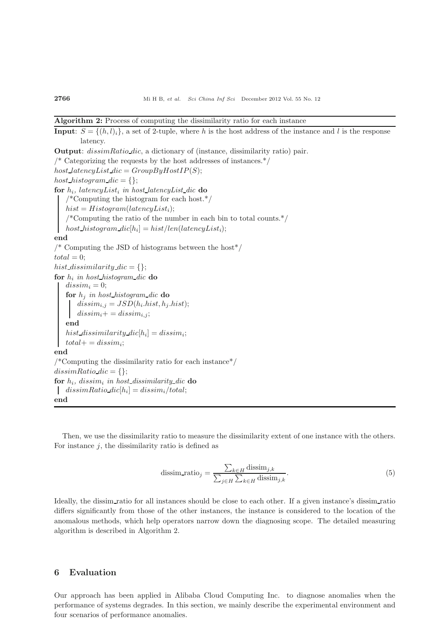## **Algorithm 2:** Process of computing the dissimilarity ratio for each instance

**Input**:  $S = \{(h, l)_i\}$ , a set of 2-tuple, where h is the host address of the instance and l is the response latency. **Output**: dissimRatio dic, a dictionary of (instance, dissimilarity ratio) pair.  $\frac{1}{2}$  Categorizing the requests by the host addresses of instances.<sup>\*</sup>/ host latency List  $dic = GroupByHostIP(S);$ host\_histogram\_dic =  $\{\};$ for  $h_i$ , latencyList<sub>i</sub> in host\_latencyList\_dic do /\*Computing the histogram for each host.\*/  $hist = Histogram(latencyList<sub>i</sub>)$ ; /\*Computing the ratio of the number in each bin to total counts.\*/ host\_histogram\_dic[h<sub>i</sub>] = hist/len(latencyList<sub>i</sub>); **end**  $\frac{1}{8}$  Computing the JSD of histograms between the host  $\frac{1}{8}$  $total = 0;$ hist\_dissimilarity\_dic = {}; **for** h<sup>i</sup> *in host histogram dic* **do**  $dissim_i = 0$ ; **for** h<sup>j</sup> *in host histogram dic* **do**  $dissim_{i,j} = JSD(h_i.hist, h_j.hist);$  $dissim_i+=dissim_{i,j};$ **end** hist\_dissimilarity\_dic $[h_i] = dissim_i;$  $total+ = dissim_i;$ **end** /\*Computing the dissimilarity ratio for each instance\*/  $dissimRatio\_dic = \{\};$ **for**  $h_i$ , dissim<sub>i</sub> in host\_dissimilarity\_dic **do** dissimRatio  $di c[h_i] = dissim_i/total;$ **end**

Then, we use the dissimilarity ratio to measure the dissimilarity extent of one instance with the others. For instance  $j$ , the dissimilarity ratio is defined as

$$
\text{dissim\_ratio}_j = \frac{\sum_{k \in H} \text{dissim}_{j,k}}{\sum_{j \in H} \sum_{k \in H} \text{dissim}_{j,k}}.\tag{5}
$$

Ideally, the dissim ratio for all instances should be close to each other. If a given instance's dissim ratio differs significantly from those of the other instances, the instance is considered to the location of the anomalous methods, which help operators narrow down the diagnosing scope. The detailed measuring algorithm is described in Algorithm 2.

# **6 Evaluation**

Our approach has been applied in Alibaba Cloud Computing Inc. to diagnose anomalies when the performance of systems degrades. In this section, we mainly describe the experimental environment and four scenarios of performance anomalies.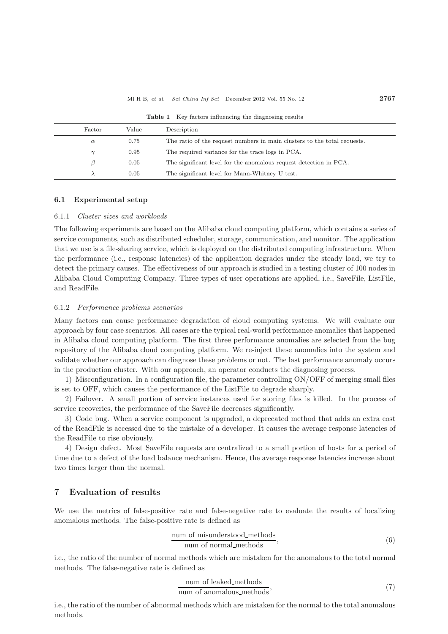## Mi H B, *et al. Sci China Inf Sci* December 2012 Vol. 55 No. 12 **2767**

**Table 1** Key factors influencing the diagnosing results

| Factor   | Value | Description                                                              |
|----------|-------|--------------------------------------------------------------------------|
| $\alpha$ | 0.75  | The ratio of the request numbers in main clusters to the total requests. |
|          | 0.95  | The required variance for the trace logs in PCA.                         |
| B        | 0.05  | The significant level for the anomalous request detection in PCA.        |
|          | 0.05  | The significant level for Mann-Whitney U test.                           |

#### **6.1 Experimental setup**

## 6.1.1 *Cluster sizes and workloads*

The following experiments are based on the Alibaba cloud computing platform, which contains a series of service components, such as distributed scheduler, storage, communication, and monitor. The application that we use is a file-sharing service, which is deployed on the distributed computing infrastructure. When the performance (i.e., response latencies) of the application degrades under the steady load, we try to detect the primary causes. The effectiveness of our approach is studied in a testing cluster of 100 nodes in Alibaba Cloud Computing Company. Three types of user operations are applied, i.e., SaveFile, ListFile, and ReadFile.

## 6.1.2 *Performance problems scenarios*

Many factors can cause performance degradation of cloud computing systems. We will evaluate our approach by four case scenarios. All cases are the typical real-world performance anomalies that happened in Alibaba cloud computing platform. The first three performance anomalies are selected from the bug repository of the Alibaba cloud computing platform. We re-inject these anomalies into the system and validate whether our approach can diagnose these problems or not. The last performance anomaly occurs in the production cluster. With our approach, an operator conducts the diagnosing process.

1) Misconfiguration. In a configuration file, the parameter controlling ON/OFF of merging small files is set to OFF, which causes the performance of the ListFile to degrade sharply.

2) Failover. A small portion of service instances used for storing files is killed. In the process of service recoveries, the performance of the SaveFile decreases significantly.

3) Code bug. When a service component is upgraded, a deprecated method that adds an extra cost of the ReadFile is accessed due to the mistake of a developer. It causes the average response latencies of the ReadFile to rise obviously.

4) Design defect. Most SaveFile requests are centralized to a small portion of hosts for a period of time due to a defect of the load balance mechanism. Hence, the average response latencies increase about two times larger than the normal.

## **7 Evaluation of results**

We use the metrics of false-positive rate and false-negative rate to evaluate the results of localizing anomalous methods. The false-positive rate is defined as

$$
\frac{\text{num of mismatched\_methods}}{\text{num of normal\_methods}},\tag{6}
$$

i.e., the ratio of the number of normal methods which are mistaken for the anomalous to the total normal methods. The false-negative rate is defined as

num of leaked methods num of anomalous methods, (7)

i.e., the ratio of the number of abnormal methods which are mistaken for the normal to the total anomalous methods.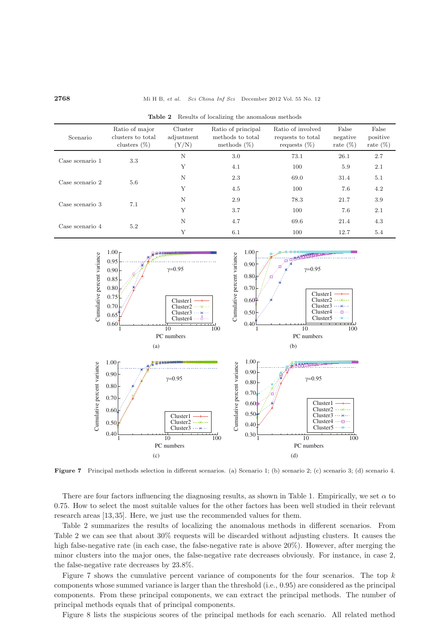#### **2768** Mi H B, *et al. Sci China Inf Sci* December 2012 Vol. 55 No. 12

| Scenario        | Ratio of major<br>clusters to total<br>clusters $(\%)$ | Cluster<br>adjustment<br>(Y/N) | Ratio of principal<br>methods to total<br>methods $(\%)$ | Ratio of involved<br>requests to total<br>requests $(\%)$ | False<br>negative<br>rate $(\%)$ | False<br>positive<br>rate $(\%)$ |
|-----------------|--------------------------------------------------------|--------------------------------|----------------------------------------------------------|-----------------------------------------------------------|----------------------------------|----------------------------------|
| Case scenario 1 | 3.3                                                    | N                              | 3.0                                                      | 73.1                                                      | 26.1                             | 2.7                              |
|                 |                                                        | Υ                              | 4.1                                                      | 100                                                       | 5.9                              | 2.1                              |
| Case scenario 2 | 5.6                                                    | N                              | 2.3                                                      | 69.0                                                      | 31.4                             | 5.1                              |
|                 |                                                        | Υ                              | 4.5                                                      | 100                                                       | 7.6                              | 4.2                              |
| Case scenario 3 | 7.1                                                    | N                              | 2.9                                                      | 78.3                                                      | 21.7                             | 3.9                              |
|                 |                                                        | Υ                              | 3.7                                                      | 100                                                       | 7.6                              | 2.1                              |
| Case scenario 4 | 5.2                                                    | N                              | 4.7                                                      | 69.6                                                      | 21.4                             | 4.3                              |
|                 |                                                        | Y                              | 6.1                                                      | 100                                                       | 12.7                             | 5.4                              |

**Table 2** Results of localizing the anomalous methods



**Figure 7** Principal methods selection in different scenarios. (a) Scenario 1; (b) scenario 2; (c) scenario 3; (d) scenario 4.

There are four factors influencing the diagnosing results, as shown in Table 1. Empirically, we set  $\alpha$  to 0.75. How to select the most suitable values for the other factors has been well studied in their relevant research areas [13, 35]. Here, we just use the recommended values for them.

Table 2 summarizes the results of localizing the anomalous methods in different scenarios. From Table 2 we can see that about 30% requests will be discarded without adjusting clusters. It causes the high false-negative rate (in each case, the false-negative rate is above  $20\%$ ). However, after merging the minor clusters into the major ones, the false-negative rate decreases obviously. For instance, in case 2, the false-negative rate decreases by 23.8%.

Figure 7 shows the cumulative percent variance of components for the four scenarios. The top  $k$ components whose summed variance is larger than the threshold (i.e., 0.95) are considered as the principal components. From these principal components, we can extract the principal methods. The number of principal methods equals that of principal components.

Figure 8 lists the suspicious scores of the principal methods for each scenario. All related method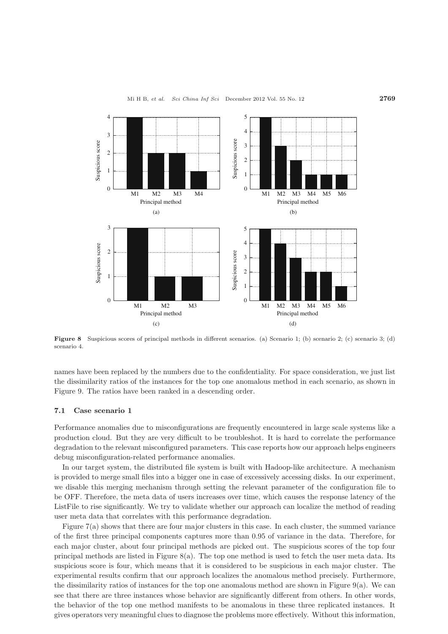

**Figure 8** Suspicious scores of principal methods in different scenarios. (a) Scenario 1; (b) scenario 2; (c) scenario 3; (d) scenario 4.

names have been replaced by the numbers due to the confidentiality. For space consideration, we just list the dissimilarity ratios of the instances for the top one anomalous method in each scenario, as shown in Figure 9. The ratios have been ranked in a descending order.

## **7.1 Case scenario 1**

Performance anomalies due to misconfigurations are frequently encountered in large scale systems like a production cloud. But they are very difficult to be troubleshot. It is hard to correlate the performance degradation to the relevant misconfigured parameters. This case reports how our approach helps engineers debug misconfiguration-related performance anomalies.

In our target system, the distributed file system is built with Hadoop-like architecture. A mechanism is provided to merge small files into a bigger one in case of excessively accessing disks. In our experiment, we disable this merging mechanism through setting the relevant parameter of the configuration file to be OFF. Therefore, the meta data of users increases over time, which causes the response latency of the ListFile to rise significantly. We try to validate whether our approach can localize the method of reading user meta data that correlates with this performance degradation.

Figure 7(a) shows that there are four major clusters in this case. In each cluster, the summed variance of the first three principal components captures more than 0.95 of variance in the data. Therefore, for each major cluster, about four principal methods are picked out. The suspicious scores of the top four principal methods are listed in Figure 8(a). The top one method is used to fetch the user meta data. Its suspicious score is four, which means that it is considered to be suspicious in each major cluster. The experimental results confirm that our approach localizes the anomalous method precisely. Furthermore, the dissimilarity ratios of instances for the top one anomalous method are shown in Figure 9(a). We can see that there are three instances whose behavior are significantly different from others. In other words, the behavior of the top one method manifests to be anomalous in these three replicated instances. It gives operators very meaningful clues to diagnose the problems more effectively. Without this information,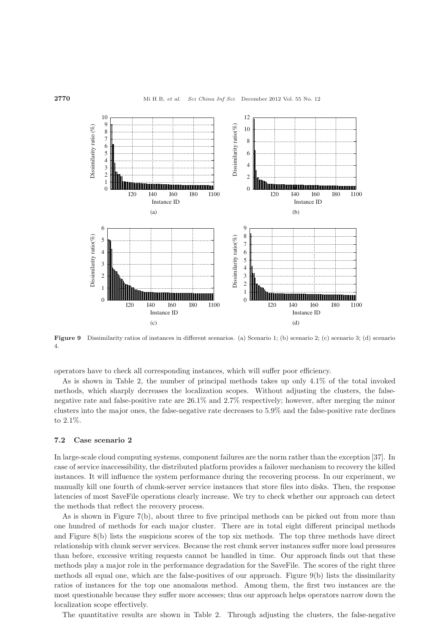

**Figure 9** Dissimilarity ratios of instances in different scenarios. (a) Scenario 1; (b) scenario 2; (c) scenario 3; (d) scenario 4.

operators have to check all corresponding instances, which will suffer poor efficiency.

As is shown in Table 2, the number of principal methods takes up only 4.1% of the total invoked methods, which sharply decreases the localization scopes. Without adjusting the clusters, the falsenegative rate and false-positive rate are 26.1% and 2.7% respectively; however, after merging the minor clusters into the major ones, the false-negative rate decreases to 5.9% and the false-positive rate declines to 2.1%.

## **7.2 Case scenario 2**

In large-scale cloud computing systems, component failures are the norm rather than the exception [37]. In case of service inaccessibility, the distributed platform provides a failover mechanism to recovery the killed instances. It will influence the system performance during the recovering process. In our experiment, we manually kill one fourth of chunk-server service instances that store files into disks. Then, the response latencies of most SaveFile operations clearly increase. We try to check whether our approach can detect the methods that reflect the recovery process.

As is shown in Figure 7(b), about three to five principal methods can be picked out from more than one hundred of methods for each major cluster. There are in total eight different principal methods and Figure 8(b) lists the suspicious scores of the top six methods. The top three methods have direct relationship with chunk server services. Because the rest chunk server instances suffer more load pressures than before, excessive writing requests cannot be handled in time. Our approach finds out that these methods play a major role in the performance degradation for the SaveFile. The scores of the right three methods all equal one, which are the false-positives of our approach. Figure 9(b) lists the dissimilarity ratios of instances for the top one anomalous method. Among them, the first two instances are the most questionable because they suffer more accesses; thus our approach helps operators narrow down the localization scope effectively.

The quantitative results are shown in Table 2. Through adjusting the clusters, the false-negative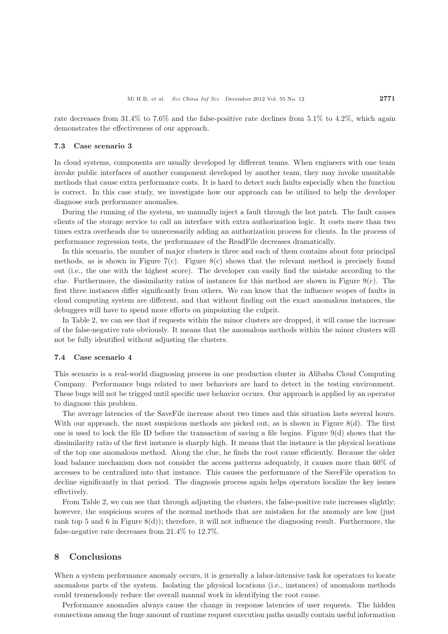rate decreases from 31.4% to 7.6% and the false-positive rate declines from 5.1% to 4.2%, which again demonstrates the effectiveness of our approach.

## **7.3 Case scenario 3**

In cloud systems, components are usually developed by different teams. When engineers with one team invoke public interfaces of another component developed by another team, they may invoke unsuitable methods that cause extra performance costs. It is hard to detect such faults especially when the function is correct. In this case study, we investigate how our approach can be utilized to help the developer diagnose such performance anomalies.

During the running of the system, we manually inject a fault through the hot patch. The fault causes clients of the storage service to call an interface with extra authorization logic. It costs more than two times extra overheads due to unnecessarily adding an authorization process for clients. In the process of performance regression tests, the performance of the ReadFile decreases dramatically.

In this scenario, the number of major clusters is three and each of them contains about four principal methods, as is shown in Figure 7(c). Figure 8(c) shows that the relevant method is precisely found out (i.e., the one with the highest score). The developer can easily find the mistake according to the clue. Furthermore, the dissimilarity ratios of instances for this method are shown in Figure  $9(c)$ . The first three instances differ significantly from others. We can know that the influence scopes of faults in cloud computing system are different, and that without finding out the exact anomalous instances, the debuggers will have to spend more efforts on pinpointing the culprit.

In Table 2, we can see that if requests within the minor clusters are dropped, it will cause the increase of the false-negative rate obviously. It means that the anomalous methods within the minor clusters will not be fully identified without adjusting the clusters.

#### **7.4 Case scenario 4**

This scenario is a real-world diagnosing process in one production cluster in Alibaba Cloud Computing Company. Performance bugs related to user behaviors are hard to detect in the testing environment. These bugs will not be trigged until specific user behavior occurs. Our approach is applied by an operator to diagnose this problem.

The average latencies of the SaveFile increase about two times and this situation lasts several hours. With our approach, the most suspicious methods are picked out, as is shown in Figure  $8(d)$ . The first one is used to lock the file ID before the transaction of saving a file begins. Figure  $9(d)$  shows that the dissimilarity ratio of the first instance is sharply high. It means that the instance is the physical locations of the top one anomalous method. Along the clue, he finds the root cause efficiently. Because the older load balance mechanism does not consider the access patterns adequately, it causes more than 60% of accesses to be centralized into that instance. This causes the performance of the SaveFile operation to decline significantly in that period. The diagnosis process again helps operators localize the key issues effectively.

From Table 2, we can see that through adjusting the clusters, the false-positive rate increases slightly; however, the suspicious scores of the normal methods that are mistaken for the anomaly are low (just rank top 5 and 6 in Figure  $8(d)$ ; therefore, it will not influence the diagnosing result. Furthermore, the false-negative rate decreases from 21.4% to 12.7%.

## **8 Conclusions**

When a system performance anomaly occurs, it is generally a labor-intensive task for operators to locate anomalous parts of the system. Isolating the physical locations (i.e., instances) of anomalous methods could tremendously reduce the overall manual work in identifying the root cause.

Performance anomalies always cause the change in response latencies of user requests. The hidden connections among the huge amount of runtime request execution paths usually contain useful information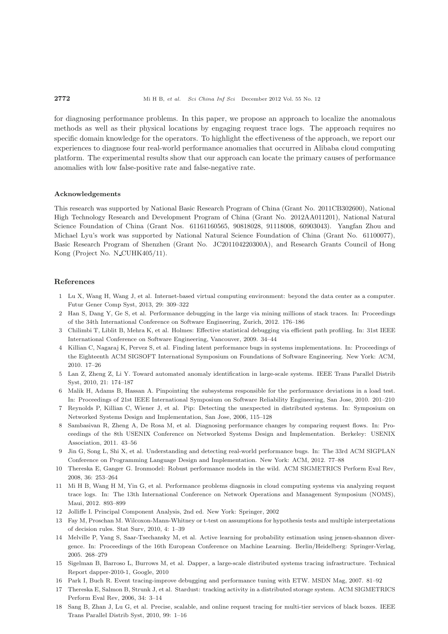for diagnosing performance problems. In this paper, we propose an approach to localize the anomalous methods as well as their physical locations by engaging request trace logs. The approach requires no specific domain knowledge for the operators. To highlight the effectiveness of the approach, we report our experiences to diagnose four real-world performance anomalies that occurred in Alibaba cloud computing platform. The experimental results show that our approach can locate the primary causes of performance anomalies with low false-positive rate and false-negative rate.

## **Acknowledgements**

This research was supported by National Basic Research Program of China (Grant No. 2011CB302600), National High Technology Research and Development Program of China (Grant No. 2012AA011201), National Natural Science Foundation of China (Grant Nos. 61161160565, 90818028, 91118008, 60903043). Yangfan Zhou and Michael Lyu's work was supported by National Natural Science Foundation of China (Grant No. 61100077), Basic Research Program of Shenzhen (Grant No. JC201104220300A), and Research Grants Council of Hong Kong (Project No. N\_CUHK405/11).

## **References**

- 1 Lu X, Wang H, Wang J, et al. Internet-based virtual computing environment: beyond the data center as a computer. Futur Gener Comp Syst, 2013, 29: 309–322
- 2 Han S, Dang Y, Ge S, et al. Performance debugging in the large via mining millions of stack traces. In: Proceedings of the 34th International Conference on Software Engineering, Zurich, 2012. 176–186
- 3 Chilimbi T, Liblit B, Mehra K, et al. Holmes: Effective statistical debugging via efficient path profiling. In: 31st IEEE International Conference on Software Engineering, Vancouver, 2009. 34–44
- 4 Killian C, Nagaraj K, Pervez S, et al. Finding latent performance bugs in systems implementations. In: Proceedings of the Eighteenth ACM SIGSOFT International Symposium on Foundations of Software Engineering. New York: ACM, 2010. 17–26
- 5 Lan Z, Zheng Z, Li Y. Toward automated anomaly identification in large-scale systems. IEEE Trans Parallel Distrib Syst, 2010, 21: 174–187
- 6 Malik H, Adams B, Hassan A. Pinpointing the subsystems responsible for the performance deviations in a load test. In: Proceedings of 21st IEEE International Symposium on Software Reliability Engineering, San Jose, 2010. 201–210
- 7 Reynolds P, Killian C, Wiener J, et al. Pip: Detecting the unexpected in distributed systems. In: Symposium on Networked Systems Design and Implementation, San Jose, 2006, 115–128
- 8 Sambasivan R, Zheng A, De Rosa M, et al. Diagnosing performance changes by comparing request flows. In: Proceedings of the 8th USENIX Conference on Networked Systems Design and Implementation. Berkeley: USENIX Association, 2011. 43–56
- 9 Jin G, Song L, Shi X, et al. Understanding and detecting real-world performance bugs. In: The 33rd ACM SIGPLAN Conference on Programming Language Design and Implementation. New York: ACM, 2012. 77–88
- 10 Thereska E, Ganger G. Ironmodel: Robust performance models in the wild. ACM SIGMETRICS Perform Eval Rev, 2008, 36: 253–264
- 11 Mi H B, Wang H M, Yin G, et al. Performance problems diagnosis in cloud computing systems via analyzing request trace logs. In: The 13th International Conference on Network Operations and Management Symposium (NOMS), Maui, 2012. 893–899
- 12 Jolliffe I. Principal Component Analysis, 2nd ed. New York: Springer, 2002
- 13 Fay M, Proschan M. Wilcoxon-Mann-Whitney or t-test on assumptions for hypothesis tests and multiple interpretations of decision rules. Stat Surv, 2010, 4: 1–39
- 14 Melville P, Yang S, Saar-Tsechansky M, et al. Active learning for probability estimation using jensen-shannon divergence. In: Proceedings of the 16th European Conference on Machine Learning. Berlin/Heidelberg: Springer-Verlag, 2005. 268–279
- 15 Sigelman B, Barroso L, Burrows M, et al. Dapper, a large-scale distributed systems tracing infrastructure. Technical Report dapper-2010-1, Google, 2010
- 16 Park I, Buch R. Event tracing-improve debugging and performance tuning with ETW. MSDN Mag, 2007. 81–92
- 17 Thereska E, Salmon B, Strunk J, et al. Stardust: tracking activity in a distributed storage system. ACM SIGMETRICS Perform Eval Rev, 2006, 34: 3–14
- 18 Sang B, Zhan J, Lu G, et al. Precise, scalable, and online request tracing for multi-tier services of black boxes. IEEE Trans Parallel Distrib Syst, 2010, 99: 1–16